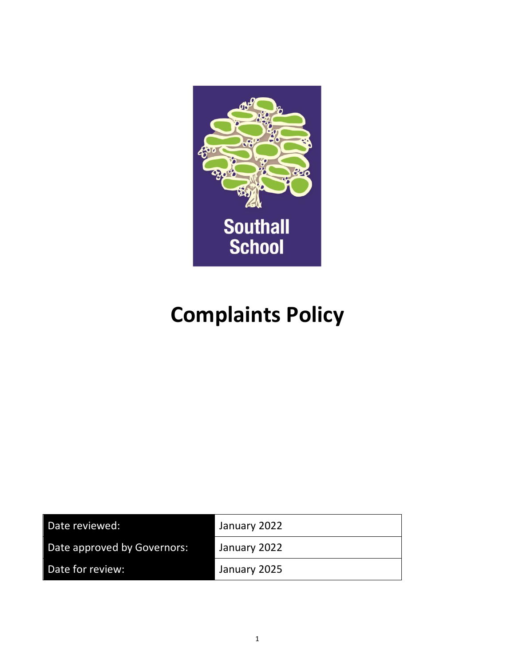

# **Complaints Policy**

| Date reviewed:              | January 2022 |
|-----------------------------|--------------|
| Date approved by Governors: | January 2022 |
| Date for review:            | January 2025 |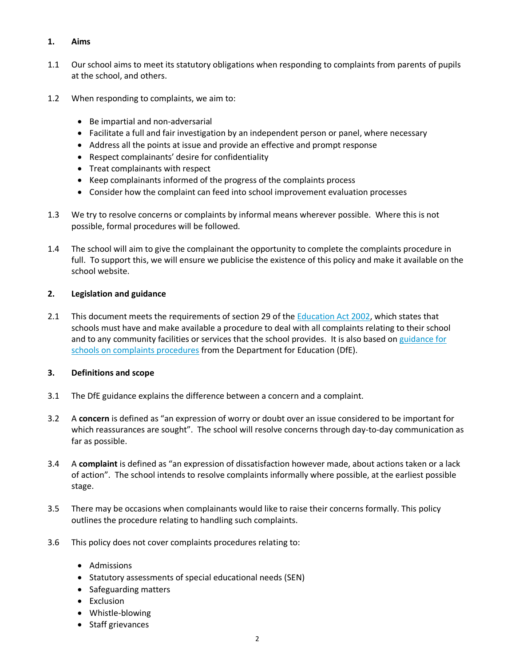# **1. Aims**

- 1.1 Our school aims to meet its statutory obligations when responding to complaints from parents of pupils at the school, and others.
- 1.2 When responding to complaints, we aim to:
	- Be impartial and non-adversarial
	- Facilitate a full and fair investigation by an independent person or panel, where necessary
	- Address all the points at issue and provide an effective and prompt response
	- Respect complainants' desire for confidentiality
	- Treat complainants with respect
	- Keep complainants informed of the progress of the complaints process
	- Consider how the complaint can feed into school improvement evaluation processes
- 1.3 We try to resolve concerns or complaints by informal means wherever possible. Where this is not possible, formal procedures will be followed.
- 1.4 The school will aim to give the complainant the opportunity to complete the complaints procedure in full. To support this, we will ensure we publicise the existence of this policy and make it available on the school website.

## **2. Legislation and guidance**

2.1 This document meets the requirements of section 29 of the [Education Act 2002,](http://www.legislation.gov.uk/ukpga/2002/32/section/29) which states that schools must have and make available a procedure to deal with all complaints relating to their school and to any community facilities or services that the school provides. It is also based on [guidance for](https://www.gov.uk/government/publications/school-complaints-procedures)  [schools on complaints procedures](https://www.gov.uk/government/publications/school-complaints-procedures) from the Department for Education (DfE).

## **3. Definitions and scope**

- 3.1 The DfE guidance explains the difference between a concern and a complaint.
- 3.2 A **concern** is defined as "an expression of worry or doubt over an issue considered to be important for which reassurances are sought". The school will resolve concerns through day-to-day communication as far as possible.
- 3.4 A **complaint** is defined as "an expression of dissatisfaction however made, about actions taken or a lack of action". The school intends to resolve complaints informally where possible, at the earliest possible stage.
- 3.5 There may be occasions when complainants would like to raise their concerns formally. This policy outlines the procedure relating to handling such complaints.
- 3.6 This policy does not cover complaints procedures relating to:
	- Admissions
	- Statutory assessments of special educational needs (SEN)
	- Safeguarding matters
	- Exclusion
	- Whistle-blowing
	- Staff grievances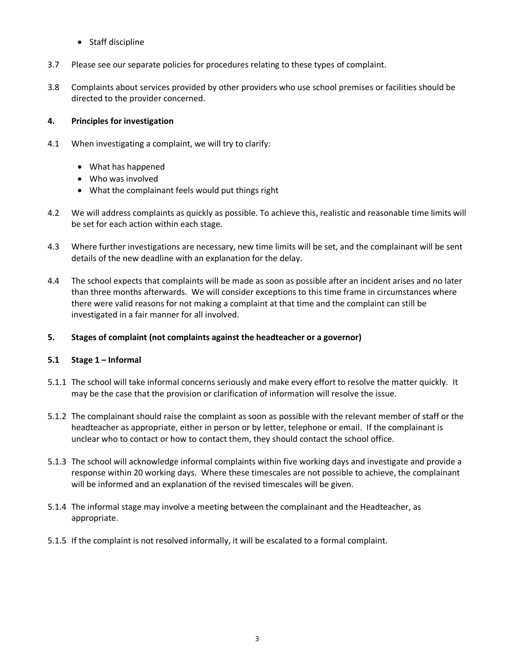- Staff discipline
- 3.7 Please see our separate policies for procedures relating to these types of complaint.
- 3.8 Complaints about services provided by other providers who use school premises or facilities should be directed to the provider concerned.

# **4. Principles for investigation**

- 4.1 When investigating a complaint, we will try to clarify:
	- What has happened
	- Who was involved
	- What the complainant feels would put things right
- 4.2 We will address complaints as quickly as possible. To achieve this, realistic and reasonable time limits will be set for each action within each stage.
- 4.3 Where further investigations are necessary, new time limits will be set, and the complainant will be sent details of the new deadline with an explanation for the delay.
- 4.4 The school expects that complaints will be made as soon as possible after an incident arises and no later than three months afterwards. We will consider exceptions to this time frame in circumstances where there were valid reasons for not making a complaint at that time and the complaint can still be investigated in a fair manner for all involved.

## **5. Stages of complaint (not complaints against the headteacher or a governor)**

## **5.1 Stage 1 – Informal**

- 5.1.1 The school will take informal concerns seriously and make every effort to resolve the matter quickly. It may be the case that the provision or clarification of information will resolve the issue.
- 5.1.2 The complainant should raise the complaint as soon as possible with the relevant member of staff or the headteacher as appropriate, either in person or by letter, telephone or email. If the complainant is unclear who to contact or how to contact them, they should contact the school office.
- 5.1.3 The school will acknowledge informal complaints within five working days and investigate and provide a response within 20 working days. Where these timescales are not possible to achieve, the complainant will be informed and an explanation of the revised timescales will be given.
- 5.1.4 The informal stage may involve a meeting between the complainant and the Headteacher, as appropriate.
- 5.1.5 If the complaint is not resolved informally, it will be escalated to a formal complaint.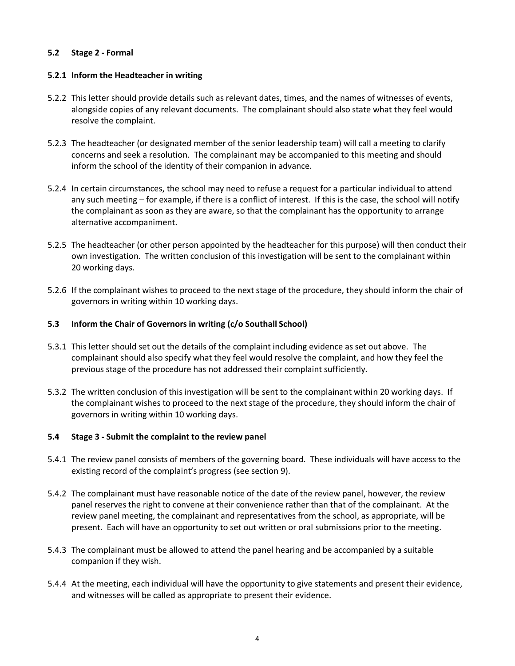# **5.2 Stage 2 - Formal**

## **5.2.1 Inform the Headteacher in writing**

- 5.2.2 This letter should provide details such as relevant dates, times, and the names of witnesses of events, alongside copies of any relevant documents. The complainant should also state what they feel would resolve the complaint.
- 5.2.3 The headteacher (or designated member of the senior leadership team) will call a meeting to clarify concerns and seek a resolution. The complainant may be accompanied to this meeting and should inform the school of the identity of their companion in advance.
- 5.2.4 In certain circumstances, the school may need to refuse a request for a particular individual to attend any such meeting – for example, if there is a conflict of interest. If this is the case, the school will notify the complainant as soon as they are aware, so that the complainant has the opportunity to arrange alternative accompaniment.
- 5.2.5 The headteacher (or other person appointed by the headteacher for this purpose) will then conduct their own investigation. The written conclusion of this investigation will be sent to the complainant within 20 working days.
- 5.2.6 If the complainant wishes to proceed to the next stage of the procedure, they should inform the chair of governors in writing within 10 working days.

# **5.3 Inform the Chair of Governors in writing (c/o Southall School)**

- 5.3.1 This letter should set out the details of the complaint including evidence as set out above. The complainant should also specify what they feel would resolve the complaint, and how they feel the previous stage of the procedure has not addressed their complaint sufficiently.
- 5.3.2 The written conclusion of this investigation will be sent to the complainant within 20 working days. If the complainant wishes to proceed to the next stage of the procedure, they should inform the chair of governors in writing within 10 working days.

## **5.4 Stage 3 - Submit the complaint to the review panel**

- 5.4.1 The review panel consists of members of the governing board. These individuals will have access to the existing record of the complaint's progress (see section 9).
- 5.4.2 The complainant must have reasonable notice of the date of the review panel, however, the review panel reserves the right to convene at their convenience rather than that of the complainant. At the review panel meeting, the complainant and representatives from the school, as appropriate, will be present. Each will have an opportunity to set out written or oral submissions prior to the meeting.
- 5.4.3 The complainant must be allowed to attend the panel hearing and be accompanied by a suitable companion if they wish.
- 5.4.4 At the meeting, each individual will have the opportunity to give statements and present their evidence, and witnesses will be called as appropriate to present their evidence.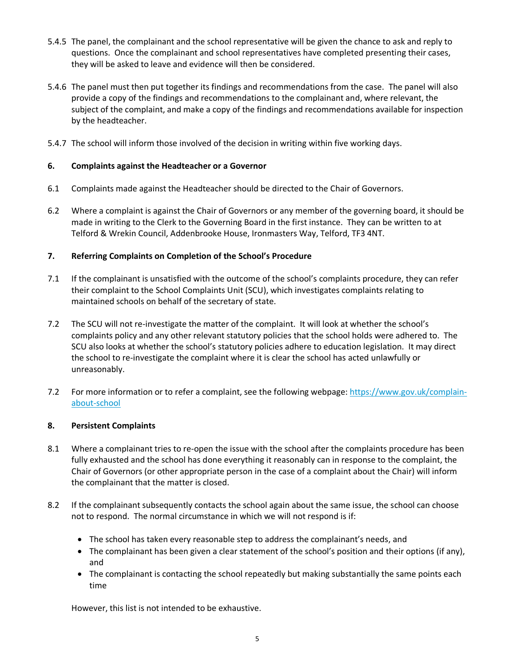- 5.4.5 The panel, the complainant and the school representative will be given the chance to ask and reply to questions. Once the complainant and school representatives have completed presenting their cases, they will be asked to leave and evidence will then be considered.
- 5.4.6 The panel must then put together its findings and recommendations from the case. The panel will also provide a copy of the findings and recommendations to the complainant and, where relevant, the subject of the complaint, and make a copy of the findings and recommendations available for inspection by the headteacher.
- 5.4.7 The school will inform those involved of the decision in writing within five working days.

# **6. Complaints against the Headteacher or a Governor**

- 6.1 Complaints made against the Headteacher should be directed to the Chair of Governors.
- 6.2 Where a complaint is against the Chair of Governors or any member of the governing board, it should be made in writing to the Clerk to the Governing Board in the first instance. They can be written to at Telford & Wrekin Council, Addenbrooke House, Ironmasters Way, Telford, TF3 4NT.

# **7. Referring Complaints on Completion of the School's Procedure**

- 7.1 If the complainant is unsatisfied with the outcome of the school's complaints procedure, they can refer their complaint to the School Complaints Unit (SCU), which investigates complaints relating to maintained schools on behalf of the secretary of state.
- 7.2 The SCU will not re-investigate the matter of the complaint. It will look at whether the school's complaints policy and any other relevant statutory policies that the school holds were adhered to. The SCU also looks at whether the school's statutory policies adhere to education legislation. It may direct the school to re-investigate the complaint where it is clear the school has acted unlawfully or unreasonably.
- 7.2 For more information or to refer a complaint, see the following webpage: [https://www.gov.uk/complain](https://www.gov.uk/complain-about-school)[about-school](https://www.gov.uk/complain-about-school)

## **8. Persistent Complaints**

- 8.1 Where a complainant tries to re-open the issue with the school after the complaints procedure has been fully exhausted and the school has done everything it reasonably can in response to the complaint, the Chair of Governors (or other appropriate person in the case of a complaint about the Chair) will inform the complainant that the matter is closed.
- 8.2 If the complainant subsequently contacts the school again about the same issue, the school can choose not to respond. The normal circumstance in which we will not respond is if:
	- The school has taken every reasonable step to address the complainant's needs, and
	- The complainant has been given a clear statement of the school's position and their options (if any), and
	- The complainant is contacting the school repeatedly but making substantially the same points each time

However, this list is not intended to be exhaustive.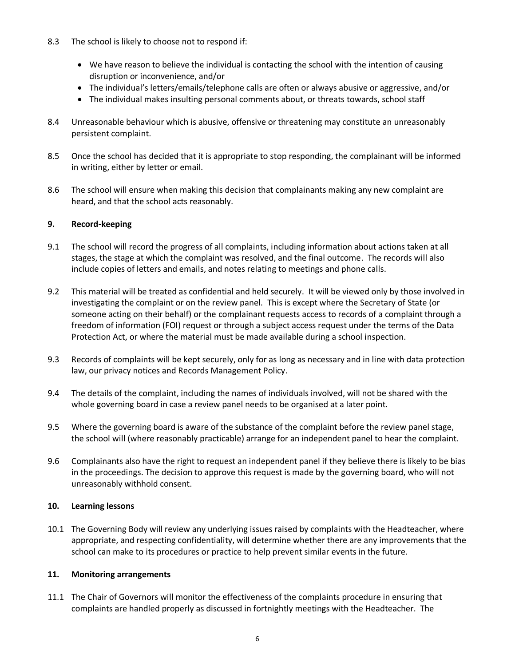- 8.3 The school is likely to choose not to respond if:
	- We have reason to believe the individual is contacting the school with the intention of causing disruption or inconvenience, and/or
	- The individual's letters/emails/telephone calls are often or always abusive or aggressive, and/or
	- The individual makes insulting personal comments about, or threats towards, school staff
- 8.4 Unreasonable behaviour which is abusive, offensive or threatening may constitute an unreasonably persistent complaint.
- 8.5 Once the school has decided that it is appropriate to stop responding, the complainant will be informed in writing, either by letter or email.
- 8.6 The school will ensure when making this decision that complainants making any new complaint are heard, and that the school acts reasonably.

## **9. Record-keeping**

- 9.1 The school will record the progress of all complaints, including information about actions taken at all stages, the stage at which the complaint was resolved, and the final outcome. The records will also include copies of letters and emails, and notes relating to meetings and phone calls.
- 9.2 This material will be treated as confidential and held securely. It will be viewed only by those involved in investigating the complaint or on the review panel. This is except where the Secretary of State (or someone acting on their behalf) or the complainant requests access to records of a complaint through a freedom of information (FOI) request or through a subject access request under the terms of the Data Protection Act, or where the material must be made available during a school inspection.
- 9.3 Records of complaints will be kept securely, only for as long as necessary and in line with data protection law, our privacy notices and Records Management Policy.
- 9.4 The details of the complaint, including the names of individuals involved, will not be shared with the whole governing board in case a review panel needs to be organised at a later point.
- 9.5 Where the governing board is aware of the substance of the complaint before the review panel stage, the school will (where reasonably practicable) arrange for an independent panel to hear the complaint.
- 9.6 Complainants also have the right to request an independent panel if they believe there is likely to be bias in the proceedings. The decision to approve this request is made by the governing board, who will not unreasonably withhold consent.

## **10. Learning lessons**

10.1 The Governing Body will review any underlying issues raised by complaints with the Headteacher, where appropriate, and respecting confidentiality, will determine whether there are any improvements that the school can make to its procedures or practice to help prevent similar events in the future.

## **11. Monitoring arrangements**

11.1 The Chair of Governors will monitor the effectiveness of the complaints procedure in ensuring that complaints are handled properly as discussed in fortnightly meetings with the Headteacher. The